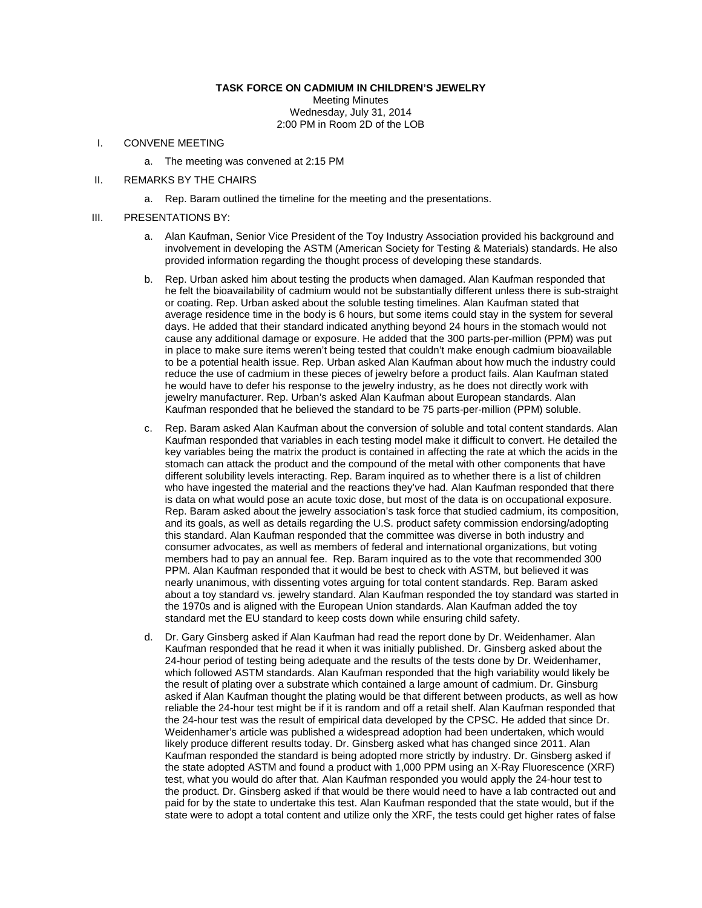## **TASK FORCE ON CADMIUM IN CHILDREN'S JEWELRY**

Meeting Minutes Wednesday, July 31, 2014 2:00 PM in Room 2D of the LOB

## I. CONVENE MEETING

- a. The meeting was convened at 2:15 PM
- II. REMARKS BY THE CHAIRS
	- a. Rep. Baram outlined the timeline for the meeting and the presentations.
- III. PRESENTATIONS BY:
	- a. Alan Kaufman, Senior Vice President of the Toy Industry Association provided his background and involvement in developing the ASTM (American Society for Testing & Materials) standards. He also provided information regarding the thought process of developing these standards.
	- b. Rep. Urban asked him about testing the products when damaged. Alan Kaufman responded that he felt the bioavailability of cadmium would not be substantially different unless there is sub-straight or coating. Rep. Urban asked about the soluble testing timelines. Alan Kaufman stated that average residence time in the body is 6 hours, but some items could stay in the system for several days. He added that their standard indicated anything beyond 24 hours in the stomach would not cause any additional damage or exposure. He added that the 300 parts-per-million (PPM) was put in place to make sure items weren't being tested that couldn't make enough cadmium bioavailable to be a potential health issue. Rep. Urban asked Alan Kaufman about how much the industry could reduce the use of cadmium in these pieces of jewelry before a product fails. Alan Kaufman stated he would have to defer his response to the jewelry industry, as he does not directly work with jewelry manufacturer. Rep. Urban's asked Alan Kaufman about European standards. Alan Kaufman responded that he believed the standard to be 75 parts-per-million (PPM) soluble.
	- c. Rep. Baram asked Alan Kaufman about the conversion of soluble and total content standards. Alan Kaufman responded that variables in each testing model make it difficult to convert. He detailed the key variables being the matrix the product is contained in affecting the rate at which the acids in the stomach can attack the product and the compound of the metal with other components that have different solubility levels interacting. Rep. Baram inquired as to whether there is a list of children who have ingested the material and the reactions they've had. Alan Kaufman responded that there is data on what would pose an acute toxic dose, but most of the data is on occupational exposure. Rep. Baram asked about the jewelry association's task force that studied cadmium, its composition, and its goals, as well as details regarding the U.S. product safety commission endorsing/adopting this standard. Alan Kaufman responded that the committee was diverse in both industry and consumer advocates, as well as members of federal and international organizations, but voting members had to pay an annual fee. Rep. Baram inquired as to the vote that recommended 300 PPM. Alan Kaufman responded that it would be best to check with ASTM, but believed it was nearly unanimous, with dissenting votes arguing for total content standards. Rep. Baram asked about a toy standard vs. jewelry standard. Alan Kaufman responded the toy standard was started in the 1970s and is aligned with the European Union standards. Alan Kaufman added the toy standard met the EU standard to keep costs down while ensuring child safety.
	- d. Dr. Gary Ginsberg asked if Alan Kaufman had read the report done by Dr. Weidenhamer. Alan Kaufman responded that he read it when it was initially published. Dr. Ginsberg asked about the 24-hour period of testing being adequate and the results of the tests done by Dr. Weidenhamer, which followed ASTM standards. Alan Kaufman responded that the high variability would likely be the result of plating over a substrate which contained a large amount of cadmium. Dr. Ginsburg asked if Alan Kaufman thought the plating would be that different between products, as well as how reliable the 24-hour test might be if it is random and off a retail shelf. Alan Kaufman responded that the 24-hour test was the result of empirical data developed by the CPSC. He added that since Dr. Weidenhamer's article was published a widespread adoption had been undertaken, which would likely produce different results today. Dr. Ginsberg asked what has changed since 2011. Alan Kaufman responded the standard is being adopted more strictly by industry. Dr. Ginsberg asked if the state adopted ASTM and found a product with 1,000 PPM using an X-Ray Fluorescence (XRF) test, what you would do after that. Alan Kaufman responded you would apply the 24-hour test to the product. Dr. Ginsberg asked if that would be there would need to have a lab contracted out and paid for by the state to undertake this test. Alan Kaufman responded that the state would, but if the state were to adopt a total content and utilize only the XRF, the tests could get higher rates of false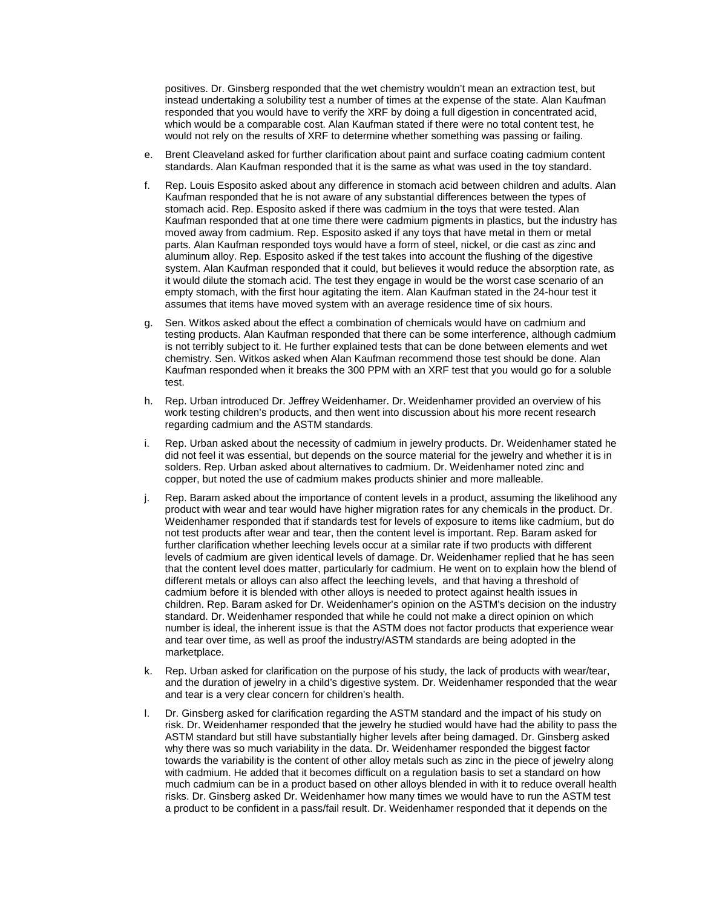positives. Dr. Ginsberg responded that the wet chemistry wouldn't mean an extraction test, but instead undertaking a solubility test a number of times at the expense of the state. Alan Kaufman responded that you would have to verify the XRF by doing a full digestion in concentrated acid, which would be a comparable cost. Alan Kaufman stated if there were no total content test, he would not rely on the results of XRF to determine whether something was passing or failing.

- e. Brent Cleaveland asked for further clarification about paint and surface coating cadmium content standards. Alan Kaufman responded that it is the same as what was used in the toy standard.
- f. Rep. Louis Esposito asked about any difference in stomach acid between children and adults. Alan Kaufman responded that he is not aware of any substantial differences between the types of stomach acid. Rep. Esposito asked if there was cadmium in the toys that were tested. Alan Kaufman responded that at one time there were cadmium pigments in plastics, but the industry has moved away from cadmium. Rep. Esposito asked if any toys that have metal in them or metal parts. Alan Kaufman responded toys would have a form of steel, nickel, or die cast as zinc and aluminum alloy. Rep. Esposito asked if the test takes into account the flushing of the digestive system. Alan Kaufman responded that it could, but believes it would reduce the absorption rate, as it would dilute the stomach acid. The test they engage in would be the worst case scenario of an empty stomach, with the first hour agitating the item. Alan Kaufman stated in the 24-hour test it assumes that items have moved system with an average residence time of six hours.
- g. Sen. Witkos asked about the effect a combination of chemicals would have on cadmium and testing products. Alan Kaufman responded that there can be some interference, although cadmium is not terribly subject to it. He further explained tests that can be done between elements and wet chemistry. Sen. Witkos asked when Alan Kaufman recommend those test should be done. Alan Kaufman responded when it breaks the 300 PPM with an XRF test that you would go for a soluble test.
- h. Rep. Urban introduced Dr. Jeffrey Weidenhamer. Dr. Weidenhamer provided an overview of his work testing children's products, and then went into discussion about his more recent research regarding cadmium and the ASTM standards.
- i. Rep. Urban asked about the necessity of cadmium in jewelry products. Dr. Weidenhamer stated he did not feel it was essential, but depends on the source material for the jewelry and whether it is in solders. Rep. Urban asked about alternatives to cadmium. Dr. Weidenhamer noted zinc and copper, but noted the use of cadmium makes products shinier and more malleable.
- j. Rep. Baram asked about the importance of content levels in a product, assuming the likelihood any product with wear and tear would have higher migration rates for any chemicals in the product. Dr. Weidenhamer responded that if standards test for levels of exposure to items like cadmium, but do not test products after wear and tear, then the content level is important. Rep. Baram asked for further clarification whether leeching levels occur at a similar rate if two products with different levels of cadmium are given identical levels of damage. Dr. Weidenhamer replied that he has seen that the content level does matter, particularly for cadmium. He went on to explain how the blend of different metals or alloys can also affect the leeching levels, and that having a threshold of cadmium before it is blended with other alloys is needed to protect against health issues in children. Rep. Baram asked for Dr. Weidenhamer's opinion on the ASTM's decision on the industry standard. Dr. Weidenhamer responded that while he could not make a direct opinion on which number is ideal, the inherent issue is that the ASTM does not factor products that experience wear and tear over time, as well as proof the industry/ASTM standards are being adopted in the marketplace.
- k. Rep. Urban asked for clarification on the purpose of his study, the lack of products with wear/tear, and the duration of jewelry in a child's digestive system. Dr. Weidenhamer responded that the wear and tear is a very clear concern for children's health.
- l. Dr. Ginsberg asked for clarification regarding the ASTM standard and the impact of his study on risk. Dr. Weidenhamer responded that the jewelry he studied would have had the ability to pass the ASTM standard but still have substantially higher levels after being damaged. Dr. Ginsberg asked why there was so much variability in the data. Dr. Weidenhamer responded the biggest factor towards the variability is the content of other alloy metals such as zinc in the piece of jewelry along with cadmium. He added that it becomes difficult on a regulation basis to set a standard on how much cadmium can be in a product based on other alloys blended in with it to reduce overall health risks. Dr. Ginsberg asked Dr. Weidenhamer how many times we would have to run the ASTM test a product to be confident in a pass/fail result. Dr. Weidenhamer responded that it depends on the